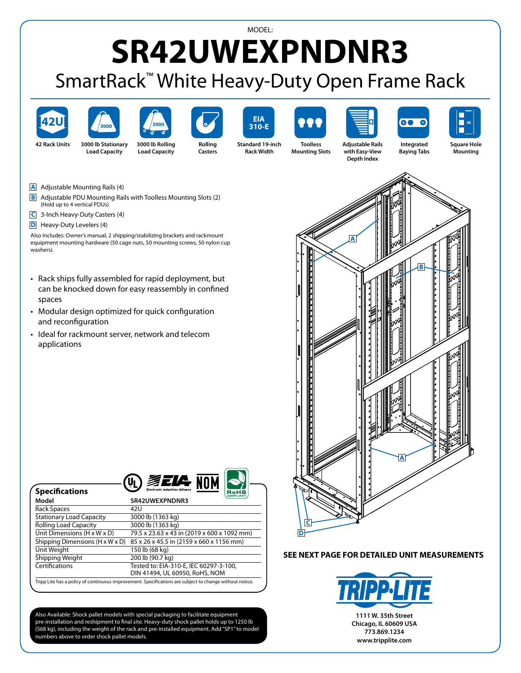## MODEL: **SR42UWEXPNDNR3**

## SmartRack™ White Heavy-Duty Open Frame Rack











**Rolling Casters**



**Standard 19-inch Rack Width**









**42 Rack Units 3000 lb Stationary Load Capacity**





**Adjustable Rails with Easy-View Depth Index**

**Integrated Baying Tabs**

**Square Hole Mounting**



- **B** Adjustable PDU Mounting Rails with Toolless Mounting Slots (2) (Hold up to 4 vertical PDUs)
- **C** 3-Inch Heavy-Duty Casters (4)
- **D** Heavy-Duty Levelers (4)

**Specifications**

Also Includes: Owner's manual, 2 shipping/stabilizing brackets and rackmount equipment mounting hardware (50 cage nuts, 50 mounting screws, 50 nylon cup washers).

- Rack ships fully assembled for rapid deployment, but can be knocked down for easy reassembly in confined spaces
- Modular design optimized for quick configuration and reconfiguration
- Ideal for rackmount server, network and telecom applications



| -------------                                                                                           | COMPLIANT                                   |
|---------------------------------------------------------------------------------------------------------|---------------------------------------------|
| Model                                                                                                   | SR42UWEXPNDNR3                              |
| Rack Spaces                                                                                             | 42U                                         |
| <b>Stationary Load Capacity</b>                                                                         | 3000 lb (1363 kg)                           |
| <b>Rolling Load Capacity</b>                                                                            | 3000 lb (1363 kg)                           |
| Unit Dimensions $(H \times W \times D)$                                                                 | 79.5 x 23.63 x 43 in (2019 x 600 x 1092 mm) |
| Shipping Dimensions $(H \times W \times D)$                                                             | 85 x 26 x 45.5 in (2159 x 660 x 1156 mm)    |
| Unit Weight                                                                                             | 150 lb (68 kg)                              |
| Shipping Weight                                                                                         | 200 lb (90.7 kg)                            |
| Certifications                                                                                          | Tested to: EIA-310-E, IEC 60297-3-100,      |
|                                                                                                         | DIN 41494, UL 60950, RoHS, NOM              |
| Tripp Lite has a policy of continuous improvement. Specifications are subject to change without notice. |                                             |

Also Available: Shock pallet models with special packaging to facilitate equipment pre-installation and reshipment to final site. Heavy-duty shock pallet holds up to 1250 lb (568 kg), including the weight of the rack and pre-installed equipment. Add "SP1" to model numbers above to order shock pallet models.



## **SEE NEXT PAGE FOR DETAILED UNIT MEASUREMENTS**